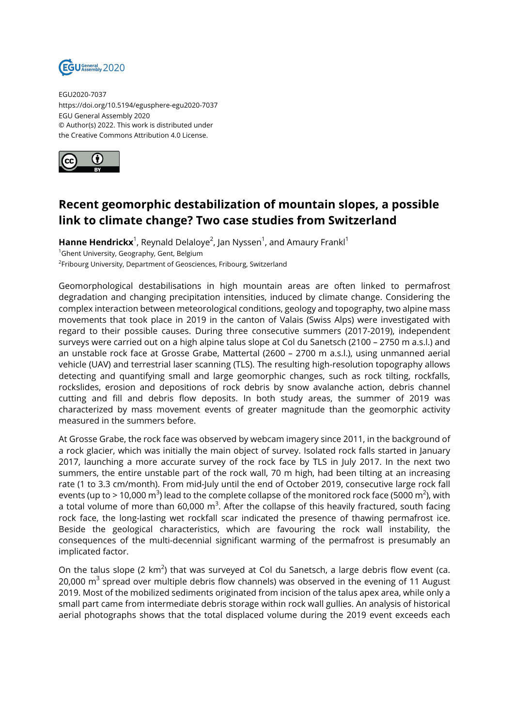

EGU2020-7037 https://doi.org/10.5194/egusphere-egu2020-7037 EGU General Assembly 2020 © Author(s) 2022. This work is distributed under the Creative Commons Attribution 4.0 License.



## **Recent geomorphic destabilization of mountain slopes, a possible link to climate change? Two case studies from Switzerland**

**Hanne Hendrickx**<sup>1</sup>, Reynald Delaloye<sup>2</sup>, Jan Nyssen<sup>1</sup>, and Amaury Frankl<sup>1</sup> <sup>1</sup>Ghent University, Geography, Gent, Belgium <sup>2</sup>Fribourg University, Department of Geosciences, Fribourg, Switzerland

Geomorphological destabilisations in high mountain areas are often linked to permafrost degradation and changing precipitation intensities, induced by climate change. Considering the complex interaction between meteorological conditions, geology and topography, two alpine mass movements that took place in 2019 in the canton of Valais (Swiss Alps) were investigated with regard to their possible causes. During three consecutive summers (2017-2019), independent surveys were carried out on a high alpine talus slope at Col du Sanetsch (2100 – 2750 m a.s.l.) and an unstable rock face at Grosse Grabe, Mattertal (2600 – 2700 m a.s.l.), using unmanned aerial vehicle (UAV) and terrestrial laser scanning (TLS). The resulting high-resolution topography allows detecting and quantifying small and large geomorphic changes, such as rock tilting, rockfalls, rockslides, erosion and depositions of rock debris by snow avalanche action, debris channel cutting and fill and debris flow deposits. In both study areas, the summer of 2019 was characterized by mass movement events of greater magnitude than the geomorphic activity measured in the summers before.

At Grosse Grabe, the rock face was observed by webcam imagery since 2011, in the background of a rock glacier, which was initially the main object of survey. Isolated rock falls started in January 2017, launching a more accurate survey of the rock face by TLS in July 2017. In the next two summers, the entire unstable part of the rock wall, 70 m high, had been tilting at an increasing rate (1 to 3.3 cm/month). From mid-July until the end of October 2019, consecutive large rock fall events (up to > 10,000 m $^3$ ) lead to the complete collapse of the monitored rock face (5000 m $^2$ ), with a total volume of more than 60,000  $\text{m}^3$ . After the collapse of this heavily fractured, south facing rock face, the long-lasting wet rockfall scar indicated the presence of thawing permafrost ice. Beside the geological characteristics, which are favouring the rock wall instability, the consequences of the multi-decennial significant warming of the permafrost is presumably an implicated factor.

On the talus slope (2 km<sup>2</sup>) that was surveyed at Col du Sanetsch, a large debris flow event (ca. 20,000  $m^3$  spread over multiple debris flow channels) was observed in the evening of 11 August 2019. Most of the mobilized sediments originated from incision of the talus apex area, while only a small part came from intermediate debris storage within rock wall gullies. An analysis of historical aerial photographs shows that the total displaced volume during the 2019 event exceeds each